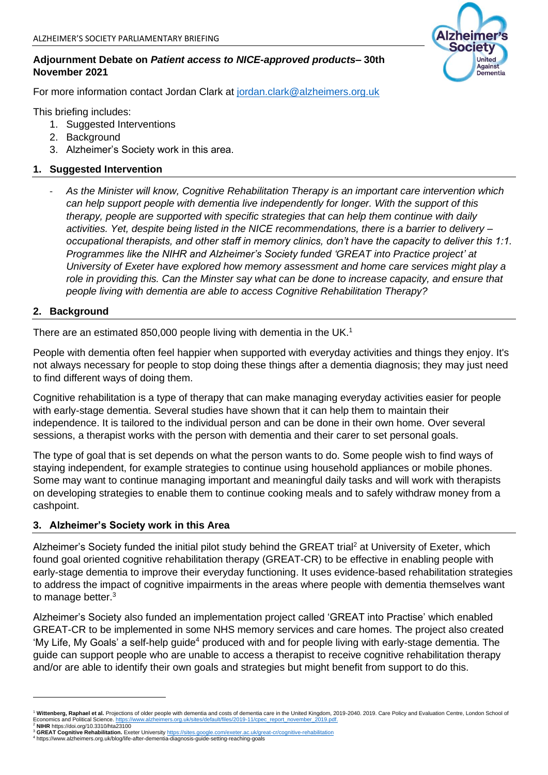### **Adjournment Debate on** *Patient access to NICE-approved products***– 30th November 2021**

For more information contact Jordan Clark at [jordan.clark@alzheimers.org.uk](mailto:jordan.clark@alzheimers.org.uk)

This briefing includes:

- 1. Suggested Interventions
- 2. Background
- 3. Alzheimer's Society work in this area.

# **1. Suggested Intervention**

- *As the Minister will know, Cognitive Rehabilitation Therapy is an important care intervention which can help support people with dementia live independently for longer. With the support of this therapy, people are supported with specific strategies that can help them continue with daily activities. Yet, despite being listed in the NICE recommendations, there is a barrier to delivery – occupational therapists, and other staff in memory clinics, don't have the capacity to deliver this 1:1. Programmes like the NIHR and Alzheimer's Society funded 'GREAT into Practice project' at University of Exeter have explored how memory assessment and home care services might play a role in providing this. Can the Minster say what can be done to increase capacity, and ensure that people living with dementia are able to access Cognitive Rehabilitation Therapy?* 

### **2. Background**

There are an estimated 850,000 people living with dementia in the UK.<sup>1</sup>

People with dementia often feel happier when supported with everyday activities and things they enjoy. It's not always necessary for people to stop doing these things after a dementia diagnosis; they may just need to find different ways of doing them.

Cognitive rehabilitation is a type of therapy that can make managing everyday activities easier for people with early-stage dementia. Several studies have shown that it can help them to maintain their independence. It is tailored to the individual person and can be done in their own home. Over several sessions, a therapist works with the person with dementia and their carer to set personal goals.

The type of goal that is set depends on what the person wants to do. Some people wish to find ways of staying independent, for example strategies to continue using household appliances or mobile phones. Some may want to continue managing important and meaningful daily tasks and will work with therapists on developing strategies to enable them to continue cooking meals and to safely withdraw money from a cashpoint.

#### **3. Alzheimer's Society work in this Area**

Alzheimer's Society funded the initial pilot study behind the GREAT trial<sup>2</sup> at University of Exeter, which found goal oriented cognitive rehabilitation therapy (GREAT-CR) to be effective in enabling people with early-stage dementia to improve their everyday functioning. It uses evidence-based rehabilitation strategies to address the impact of cognitive impairments in the areas where people with dementia themselves want to manage better.<sup>3</sup>

Alzheimer's Society also funded an implementation project called 'GREAT into Practise' which enabled GREAT-CR to be implemented in some NHS memory services and care homes. The project also created 'My Life, My Goals' a self-help quide<sup>4</sup> produced with and for people living with early-stage dementia. The guide can support people who are unable to access a therapist to receive cognitive rehabilitation therapy and/or are able to identify their own goals and strategies but might benefit from support to do this.



Wittenberg, Raphael et al. Projections of older people with dementia and costs of dementia care in the United Kingdom, 2019-2040. 2019. Care Policy and Evaluation Centre, London School of<br>Fronomics and Political Science, h ers.org.uk/sites/default/files/2019-11/cpec\_report\_november Economics and Political Science. https://www.alzl<sup>2</sup><br><sup>2</sup> NIHR https://doi.org/10.3310/hta23100

<sup>&</sup>lt;sup>3</sup> GREAT Cognitive Rehabilitation. Exeter University <u><https://sites.google.com/exeter.ac.uk/great-cr/cognitive-rehabilitation></u><br><sup>4</sup> https://www.alzheimers.org.uk/blog/life-after-dementia-diagnosis-guide-setting-reaching-go